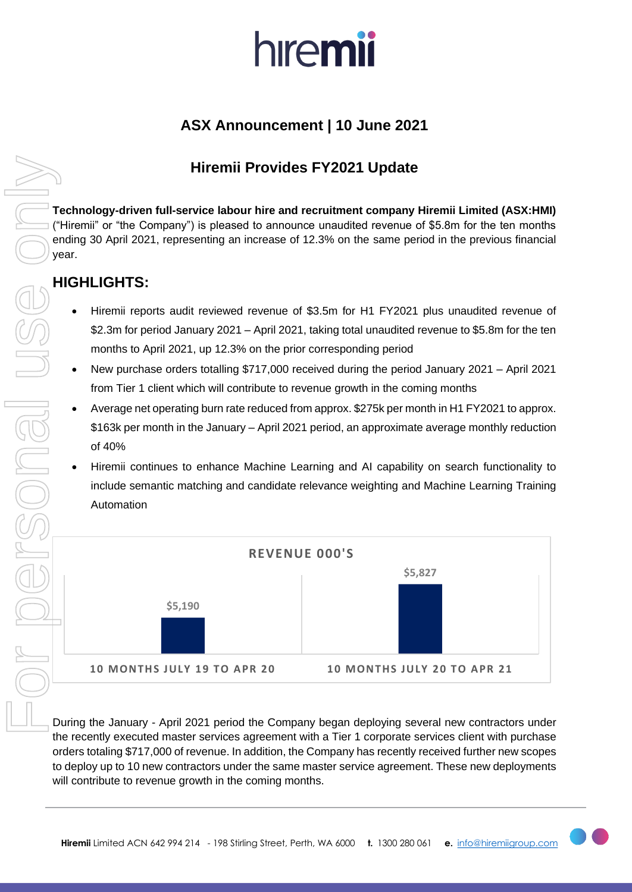# hiremii

# **ASX Announcement | 10 June 2021**

## **Hiremii Provides FY2021 Update**

**Technology-driven full-service labour hire and recruitment company Hiremii Limited (ASX:HMI)**  ("Hiremii" or "the Company") is pleased to announce unaudited revenue of \$5.8m for the ten months ending 30 April 2021, representing an increase of 12.3% on the same period in the previous financial year.

### **HIGHLIGHTS:**

- Hiremii reports audit reviewed revenue of \$3.5m for H1 FY2021 plus unaudited revenue of \$2.3m for period January 2021 – April 2021, taking total unaudited revenue to \$5.8m for the ten months to April 2021, up 12.3% on the prior corresponding period
- New purchase orders totalling \$717,000 received during the period January 2021 April 2021 from Tier 1 client which will contribute to revenue growth in the coming months
- Average net operating burn rate reduced from approx. \$275k per month in H1 FY2021 to approx. \$163k per month in the January – April 2021 period, an approximate average monthly reduction of 40%
- Hiremii continues to enhance Machine Learning and AI capability on search functionality to include semantic matching and candidate relevance weighting and Machine Learning Training Automation



During the January - April 2021 period the Company began deploying several new contractors under the recently executed master services agreement with a Tier 1 corporate services client with purchase orders totaling \$717,000 of revenue. In addition, the Company has recently received further new scopes to deploy up to 10 new contractors under the same master service agreement. These new deployments will contribute to revenue growth in the coming months.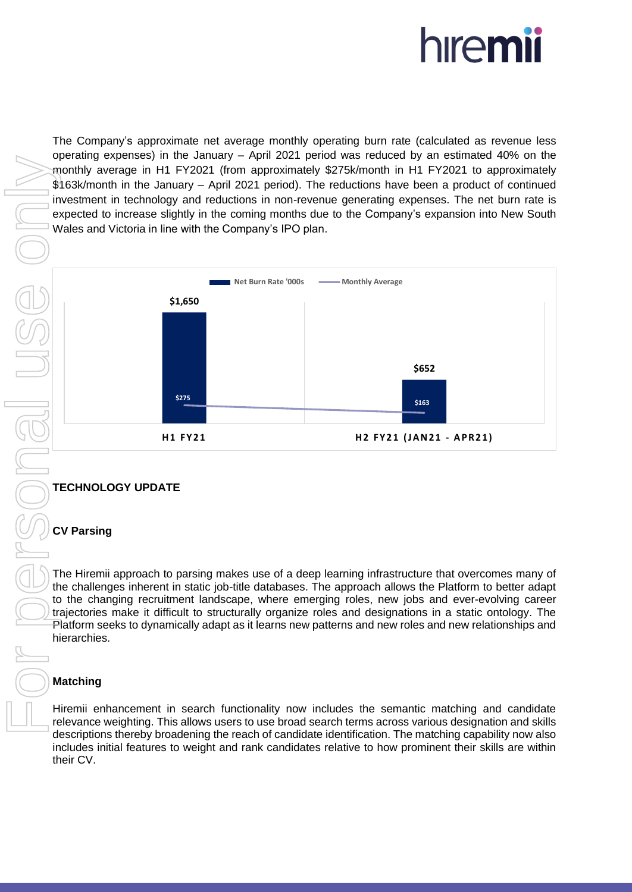

The Company's approximate net average monthly operating burn rate (calculated as revenue less operating expenses) in the January – April 2021 period was reduced by an estimated 40% on the monthly average in H1 FY2021 (from approximately \$275k/month in H1 FY2021 to approximately \$163k/month in the January – April 2021 period). The reductions have been a product of continued investment in technology and reductions in non-revenue generating expenses. The net burn rate is expected to increase slightly in the coming months due to the Company's expansion into New South Wales and Victoria in line with the Company's IPO plan.



### **TECHNOLOGY UPDATE**

#### **CV Parsing**

The Hiremii approach to parsing makes use of a deep learning infrastructure that overcomes many of the challenges inherent in static job-title databases. The approach allows the Platform to better adapt to the changing recruitment landscape, where emerging roles, new jobs and ever-evolving career trajectories make it difficult to structurally organize roles and designations in a static ontology. The Platform seeks to dynamically adapt as it learns new patterns and new roles and new relationships and hierarchies.

#### **Matching**

Hiremii enhancement in search functionality now includes the semantic matching and candidate relevance weighting. This allows users to use broad search terms across various designation and skills descriptions thereby broadening the reach of candidate identification. The matching capability now also includes initial features to weight and rank candidates relative to how prominent their skills are within their CV.